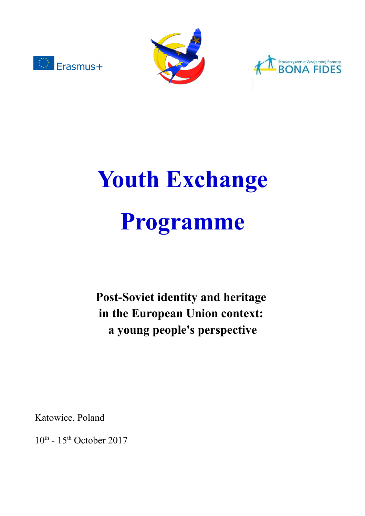





# **Youth Exchange Programme**

**Post-Soviet identity and heritage in the European Union context: a young people's perspective**

Katowice, Poland

 $10^{\text{th}}$  -  $15^{\text{th}}$  October 2017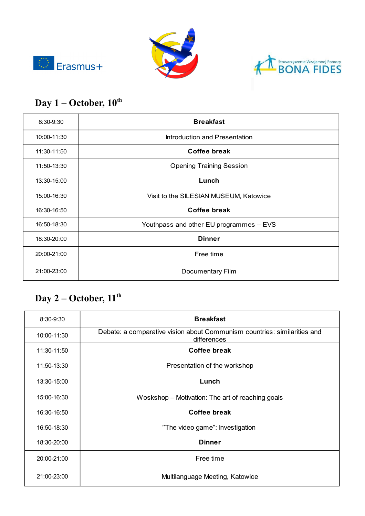





# **Day 1 – October, 10th**

| 8:30-9:30   | <b>Breakfast</b>                        |
|-------------|-----------------------------------------|
| 10:00-11:30 | Introduction and Presentation           |
| 11:30-11:50 | Coffee break                            |
| 11:50-13:30 | <b>Opening Training Session</b>         |
| 13:30-15:00 | Lunch                                   |
| 15:00-16:30 | Visit to the SILESIAN MUSEUM, Katowice  |
| 16:30-16:50 | <b>Coffee break</b>                     |
| 16:50-18:30 | Youthpass and other EU programmes - EVS |
| 18:30-20:00 | <b>Dinner</b>                           |
| 20:00-21:00 | Free time                               |
| 21:00-23:00 | Documentary Film                        |

#### **Day 2 – October, 11th**

| $8:30 - 9:30$ | <b>Breakfast</b>                                                                        |
|---------------|-----------------------------------------------------------------------------------------|
| 10:00-11:30   | Debate: a comparative vision about Communism countries: similarities and<br>differences |
| 11:30-11:50   | Coffee break                                                                            |
| 11:50-13:30   | Presentation of the workshop                                                            |
| 13:30-15:00   | Lunch                                                                                   |
| 15:00-16:30   | Woskshop – Motivation: The art of reaching goals                                        |
| 16:30-16:50   | <b>Coffee break</b>                                                                     |
| 16:50-18:30   | "The video game": Investigation                                                         |
| 18:30-20:00   | <b>Dinner</b>                                                                           |
| 20:00-21:00   | Free time                                                                               |
| 21:00-23:00   | Multilanguage Meeting, Katowice                                                         |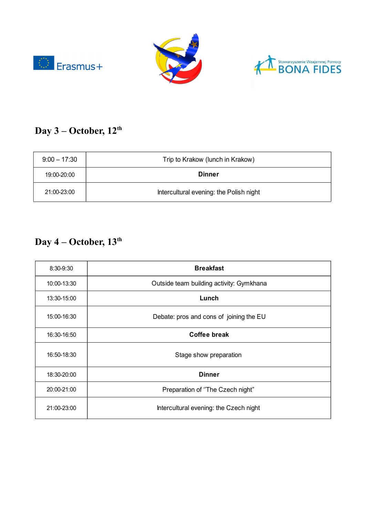





# **Day 3 – October, 12th**

| $9:00 - 17:30$ | Trip to Krakow (lunch in Krakow)        |
|----------------|-----------------------------------------|
| 19:00-20:00    | <b>Dinner</b>                           |
| 21:00-23:00    | Intercultural evening: the Polish night |

# **Day 4 – October, 13th**

| 8:30-9:30   | <b>Breakfast</b>                         |
|-------------|------------------------------------------|
| 10:00-13:30 | Outside team building activity: Gymkhana |
| 13:30-15:00 | Lunch                                    |
| 15:00-16:30 | Debate: pros and cons of joining the EU  |
| 16:30-16:50 | <b>Coffee break</b>                      |
| 16:50-18:30 | Stage show preparation                   |
| 18:30-20:00 | <b>Dinner</b>                            |
| 20:00-21:00 | Preparation of "The Czech night"         |
| 21:00-23:00 | Intercultural evening: the Czech night   |